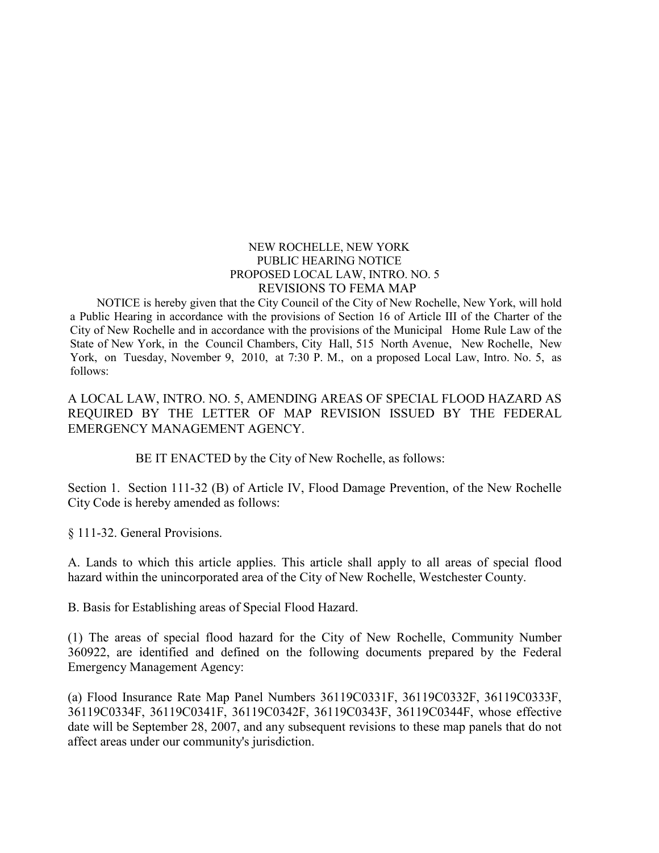## NEW ROCHELLE, NEW YORK PUBLIC HEARING NOTICE PROPOSED LOCAL LAW, INTRO. NO. 5 REVISIONS TO FEMA MAP

NOTICE is hereby given that the City Council of the City of New Rochelle, New York, will hold a Public Hearing in accordance with the provisions of Section 16 of Article III of the Charter of the City of New Rochelle and in accordance with the provisions of the Municipal Home Rule Law of the State of New York, in the Council Chambers, City Hall, 515 North Avenue, New Rochelle, New York, on Tuesday, November 9, 2010, at 7:30 P. M., on a proposed Local Law, Intro. No. 5, as follows:

A LOCAL LAW, INTRO. NO. 5, AMENDING AREAS OF SPECIAL FLOOD HAZARD AS REQUIRED BY THE LETTER OF MAP REVISION ISSUED BY THE FEDERAL EMERGENCY MANAGEMENT AGENCY.

BE IT ENACTED by the City of New Rochelle, as follows:

Section 1. Section 111-32 (B) of Article IV, Flood Damage Prevention, of the New Rochelle City Code is hereby amended as follows:

§ 111-32. General Provisions.

A. Lands to which this article applies. This article shall apply to all areas of special flood hazard within the unincorporated area of the City of New Rochelle, Westchester County.

B. Basis for Establishing areas of Special Flood Hazard.

(1) The areas of special flood hazard for the City of New Rochelle, Community Number 360922, are identified and defined on the following documents prepared by the Federal Emergency Management Agency:

(a) Flood Insurance Rate Map Panel Numbers 36119C0331F, 36119C0332F, 36119C0333F, 36119C0334F, 36119C0341F, 36119C0342F, 36119C0343F, 36119C0344F, whose effective date will be September 28, 2007, and any subsequent revisions to these map panels that do not affect areas under our community's jurisdiction.